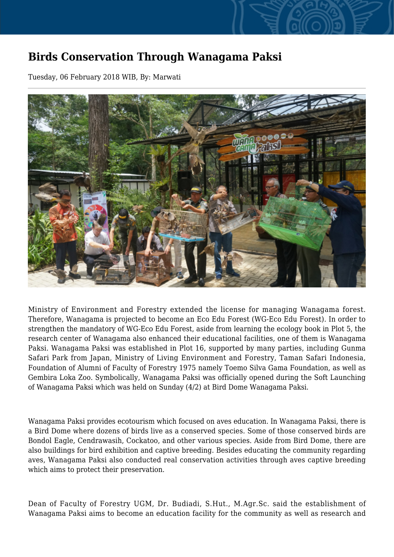## **Birds Conservation Through Wanagama Paksi**

Tuesday, 06 February 2018 WIB, By: Marwati



Ministry of Environment and Forestry extended the license for managing Wanagama forest. Therefore, Wanagama is projected to become an Eco Edu Forest (WG-Eco Edu Forest). In order to strengthen the mandatory of WG-Eco Edu Forest, aside from learning the ecology book in Plot 5, the research center of Wanagama also enhanced their educational facilities, one of them is Wanagama Paksi. Wanagama Paksi was established in Plot 16, supported by many parties, including Gunma Safari Park from Japan, Ministry of Living Environment and Forestry, Taman Safari Indonesia, Foundation of Alumni of Faculty of Forestry 1975 namely Toemo Silva Gama Foundation, as well as Gembira Loka Zoo. Symbolically, Wanagama Paksi was officially opened during the Soft Launching of Wanagama Paksi which was held on Sunday (4/2) at Bird Dome Wanagama Paksi.

Wanagama Paksi provides ecotourism which focused on aves education. In Wanagama Paksi, there is a Bird Dome where dozens of birds live as a conserved species. Some of those conserved birds are Bondol Eagle, Cendrawasih, Cockatoo, and other various species. Aside from Bird Dome, there are also buildings for bird exhibition and captive breeding. Besides educating the community regarding aves, Wanagama Paksi also conducted real conservation activities through aves captive breeding which aims to protect their preservation.

Dean of Faculty of Forestry UGM, Dr. Budiadi, S.Hut., M.Agr.Sc. said the establishment of Wanagama Paksi aims to become an education facility for the community as well as research and